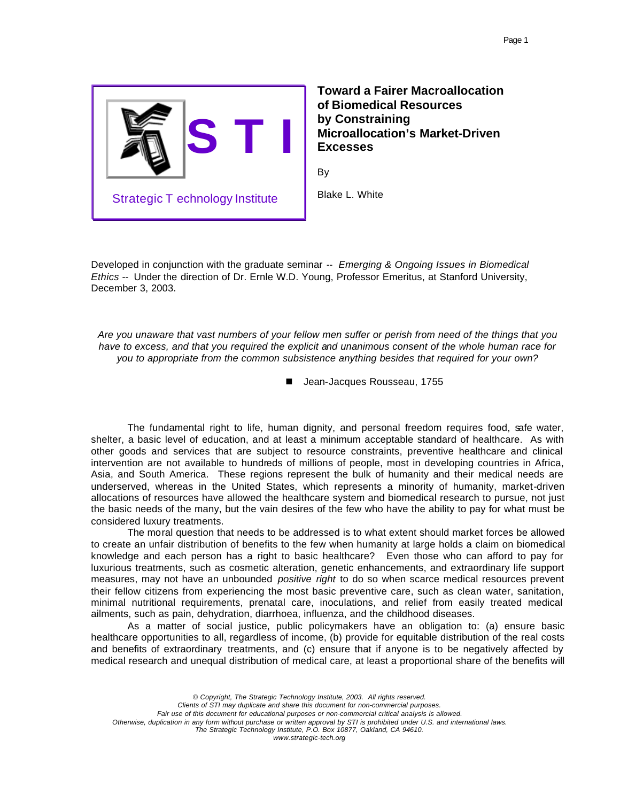

**Toward a Fairer Macroallocation of Biomedical Resources by Constraining Microallocation's Market-Driven Excesses**

By

Blake L. White

Developed in conjunction with the graduate seminar -- *Emerging & Ongoing Issues in Biomedical Ethics* -- Under the direction of Dr. Ernle W.D. Young, Professor Emeritus, at Stanford University, December 3, 2003.

*Are you unaware that vast numbers of your fellow men suffer or perish from need of the things that you have to excess, and that you required the explicit and unanimous consent of the whole human race for you to appropriate from the common subsistence anything besides that required for your own?*

■ Jean-Jacques Rousseau, 1755

The fundamental right to life, human dignity, and personal freedom requires food, safe water, shelter, a basic level of education, and at least a minimum acceptable standard of healthcare. As with other goods and services that are subject to resource constraints, preventive healthcare and clinical intervention are not available to hundreds of millions of people, most in developing countries in Africa, Asia, and South America. These regions represent the bulk of humanity and their medical needs are underserved, whereas in the United States, which represents a minority of humanity, market-driven allocations of resources have allowed the healthcare system and biomedical research to pursue, not just the basic needs of the many, but the vain desires of the few who have the ability to pay for what must be considered luxury treatments.

The moral question that needs to be addressed is to what extent should market forces be allowed to create an unfair distribution of benefits to the few when humanity at large holds a claim on biomedical knowledge and each person has a right to basic healthcare? Even those who can afford to pay for luxurious treatments, such as cosmetic alteration, genetic enhancements, and extraordinary life support measures, may not have an unbounded *positive right* to do so when scarce medical resources prevent their fellow citizens from experiencing the most basic preventive care, such as clean water, sanitation, minimal nutritional requirements, prenatal care, inoculations, and relief from easily treated medical ailments, such as pain, dehydration, diarrhoea, influenza, and the childhood diseases.

As a matter of social justice, public policymakers have an obligation to: (a) ensure basic healthcare opportunities to all, regardless of income, (b) provide for equitable distribution of the real costs and benefits of extraordinary treatments, and (c) ensure that if anyone is to be negatively affected by medical research and unequal distribution of medical care, at least a proportional share of the benefits will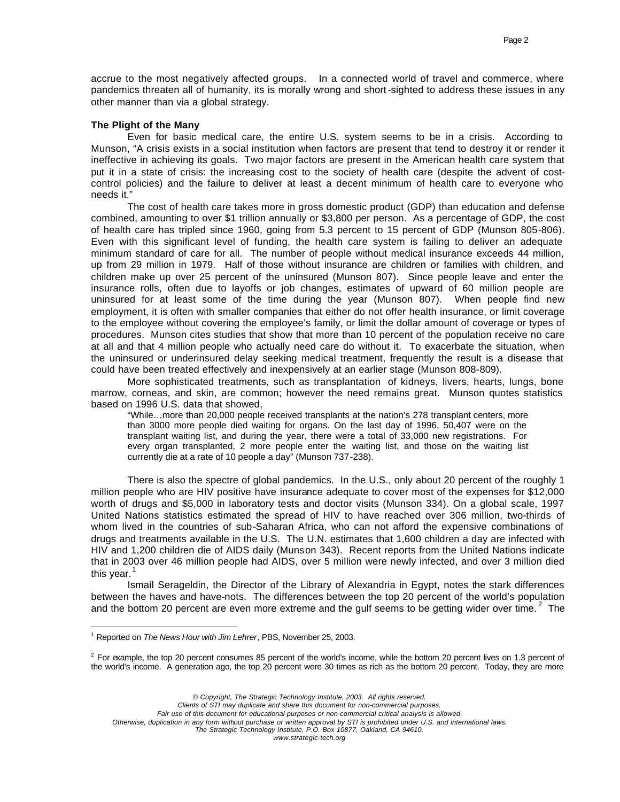accrue to the most negatively affected groups. In a connected world of travel and commerce, where pandemics threaten all of humanity, its is morally wrong and short-sighted to address these issues in any other manner than via a global strategy.

### **The Plight of the Many**

Even for basic medical care, the entire U.S. system seems to be in a crisis. According to Munson, "A crisis exists in a social institution when factors are present that tend to destroy it or render it ineffective in achieving its goals. Two major factors are present in the American health care system that put it in a state of crisis: the increasing cost to the society of health care (despite the advent of costcontrol policies) and the failure to deliver at least a decent minimum of health care to everyone who needs it."

The cost of health care takes more in gross domestic product (GDP) than education and defense combined, amounting to over \$1 trillion annually or \$3,800 per person. As a percentage of GDP, the cost of health care has tripled since 1960, going from 5.3 percent to 15 percent of GDP (Munson 805-806). Even with this significant level of funding, the health care system is failing to deliver an adequate minimum standard of care for all. The number of people without medical insurance exceeds 44 million, up from 29 million in 1979. Half of those without insurance are children or families with children, and children make up over 25 percent of the uninsured (Munson 807). Since people leave and enter the insurance rolls, often due to layoffs or job changes, estimates of upward of 60 million people are uninsured for at least some of the time during the year (Munson 807). When people find new employment, it is often with smaller companies that either do not offer health insurance, or limit coverage to the employee without covering the employee's family, or limit the dollar amount of coverage or types of procedures. Munson cites studies that show that more than 10 percent of the population receive no care at all and that 4 million people who actually need care do without it. To exacerbate the situation, when the uninsured or underinsured delay seeking medical treatment, frequently the result is a disease that could have been treated effectively and inexpensively at an earlier stage (Munson 808-809).

More sophisticated treatments, such as transplantation of kidneys, livers, hearts, lungs, bone marrow, corneas, and skin, are common; however the need remains great. Munson quotes statistics based on 1996 U.S. data that showed,

"While…more than 20,000 people received transplants at the nation's 278 transplant centers, more than 3000 more people died waiting for organs. On the last day of 1996, 50,407 were on the transplant waiting list, and during the year, there were a total of 33,000 new registrations. For every organ transplanted, 2 more people enter the waiting list, and those on the waiting list currently die at a rate of 10 people a day" (Munson 737-238).

There is also the spectre of global pandemics. In the U.S., only about 20 percent of the roughly 1 million people who are HIV positive have insurance adequate to cover most of the expenses for \$12,000 worth of drugs and \$5,000 in laboratory tests and doctor visits (Munson 334). On a global scale, 1997 United Nations statistics estimated the spread of HIV to have reached over 306 million, two-thirds of whom lived in the countries of sub-Saharan Africa, who can not afford the expensive combinations of drugs and treatments available in the U.S. The U.N. estimates that 1,600 children a day are infected with HIV and 1,200 children die of AIDS daily (Munson 343). Recent reports from the United Nations indicate that in 2003 over 46 million people had AIDS, over 5 million were newly infected, and over 3 million died this year. $<sup>1</sup>$ </sup>

Ismail Serageldin, the Director of the Library of Alexandria in Egypt, notes the stark differences between the haves and have-nots. The differences between the top 20 percent of the world's population and the bottom 20 percent are even more extreme and the gulf seems to be getting wider over time.<sup>2</sup> The

 $\overline{a}$ 

*© Copyright, The Strategic Technology Institute, 2003. All rights reserved.*

*Clients of STI may duplicate and share this document for non-commercial purposes.* 

*Fair use of this document for educational purposes or non-commercial critical analysis is allowed.* 

*Otherwise, duplication in any form without purchase or written approval by STI is prohibited under U.S. and international laws.*

*The Strategic Technology Institute, P.O. Box 10877, Oakland, CA 94610.*

<sup>&</sup>lt;sup>1</sup> Reported on *The News Hour with Jim Lehrer*, PBS, November 25, 2003.

 $2$  For example, the top 20 percent consumes 85 percent of the world's income, while the bottom 20 percent lives on 1.3 percent of the world's income. A generation ago, the top 20 percent were 30 times as rich as the bottom 20 percent. Today, they are more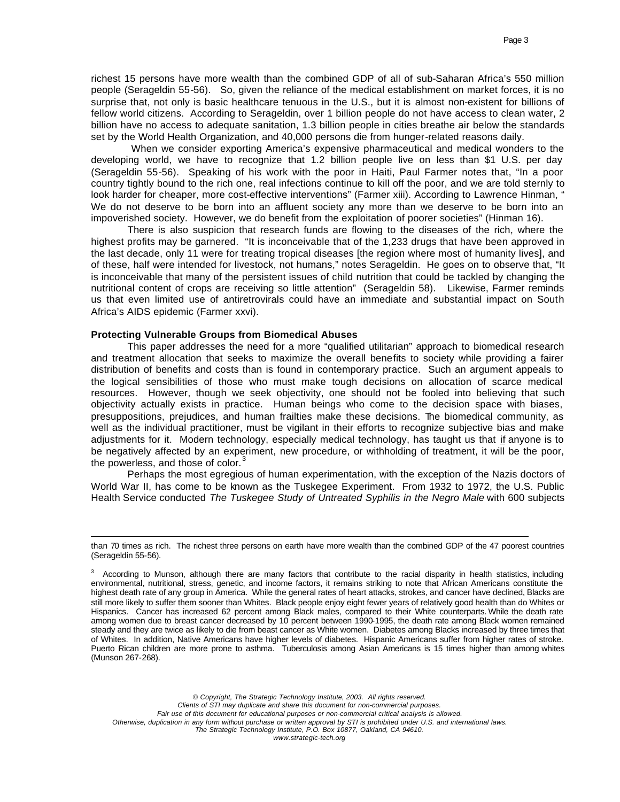richest 15 persons have more wealth than the combined GDP of all of sub-Saharan Africa's 550 million people (Serageldin 55-56). So, given the reliance of the medical establishment on market forces, it is no surprise that, not only is basic healthcare tenuous in the U.S., but it is almost non-existent for billions of fellow world citizens. According to Serageldin, over 1 billion people do not have access to clean water, 2 billion have no access to adequate sanitation, 1.3 billion people in cities breathe air below the standards set by the World Health Organization, and 40,000 persons die from hunger-related reasons daily.

 When we consider exporting America's expensive pharmaceutical and medical wonders to the developing world, we have to recognize that 1.2 billion people live on less than \$1 U.S. per day (Serageldin 55-56). Speaking of his work with the poor in Haiti, Paul Farmer notes that, "In a poor country tightly bound to the rich one, real infections continue to kill off the poor, and we are told sternly to look harder for cheaper, more cost-effective interventions" (Farmer xiii). According to Lawrence Hinman, " We do not deserve to be born into an affluent society any more than we deserve to be born into an impoverished society. However, we do benefit from the exploitation of poorer societies" (Hinman 16).

There is also suspicion that research funds are flowing to the diseases of the rich, where the highest profits may be garnered. "It is inconceivable that of the 1,233 drugs that have been approved in the last decade, only 11 were for treating tropical diseases [the region where most of humanity lives], and of these, half were intended for livestock, not humans," notes Serageldin. He goes on to observe that, "It is inconceivable that many of the persistent issues of child nutrition that could be tackled by changing the nutritional content of crops are receiving so little attention" (Serageldin 58). Likewise, Farmer reminds us that even limited use of antiretrovirals could have an immediate and substantial impact on South Africa's AIDS epidemic (Farmer xxvi).

## **Protecting Vulnerable Groups from Biomedical Abuses**

 $\overline{a}$ 

This paper addresses the need for a more "qualified utilitarian" approach to biomedical research and treatment allocation that seeks to maximize the overall benefits to society while providing a fairer distribution of benefits and costs than is found in contemporary practice. Such an argument appeals to the logical sensibilities of those who must make tough decisions on allocation of scarce medical resources. However, though we seek objectivity, one should not be fooled into believing that such objectivity actually exists in practice. Human beings who come to the decision space with biases, presuppositions, prejudices, and human frailties make these decisions. The biomedical community, as well as the individual practitioner, must be vigilant in their efforts to recognize subjective bias and make adjustments for it. Modern technology, especially medical technology, has taught us that if anyone is to be negatively affected by an experiment, new procedure, or withholding of treatment, it will be the poor, the powerless, and those of color. $\frac{3}{5}$ 

Perhaps the most egregious of human experimentation, with the exception of the Nazis doctors of World War II, has come to be known as the Tuskegee Experiment. From 1932 to 1972, the U.S. Public Health Service conducted *The Tuskegee Study of Untreated Syphilis in the Negro Male* with 600 subjects

*© Copyright, The Strategic Technology Institute, 2003. All rights reserved. Clients of STI may duplicate and share this document for non-commercial purposes. Fair use of this document for educational purposes or non-commercial critical analysis is allowed. Otherwise, duplication in any form without purchase or written approval by STI is prohibited under U.S. and international laws. The Strategic Technology Institute, P.O. Box 10877, Oakland, CA 94610.*

than 70 times as rich. The richest three persons on earth have more wealth than the combined GDP of the 47 poorest countries (Serageldin 55-56).

 $3$  According to Munson, although there are many factors that contribute to the racial disparity in health statistics, including environmental, nutritional, stress, genetic, and income factors, it remains striking to note that African Americans constitute the highest death rate of any group in America. While the general rates of heart attacks, strokes, and cancer have declined, Blacks are still more likely to suffer them sooner than Whites. Black people enjoy eight fewer years of relatively good health than do Whites or Hispanics. Cancer has increased 62 percent among Black males, compared to their White counterparts. While the death rate among women due to breast cancer decreased by 10 percent between 1990-1995, the death rate among Black women remained steady and they are twice as likely to die from beast cancer as White women. Diabetes among Blacks increased by three times that of Whites. In addition, Native Americans have higher levels of diabetes. Hispanic Americans suffer from higher rates of stroke. Puerto Rican children are more prone to asthma. Tuberculosis among Asian Americans is 15 times higher than among whites (Munson 267-268).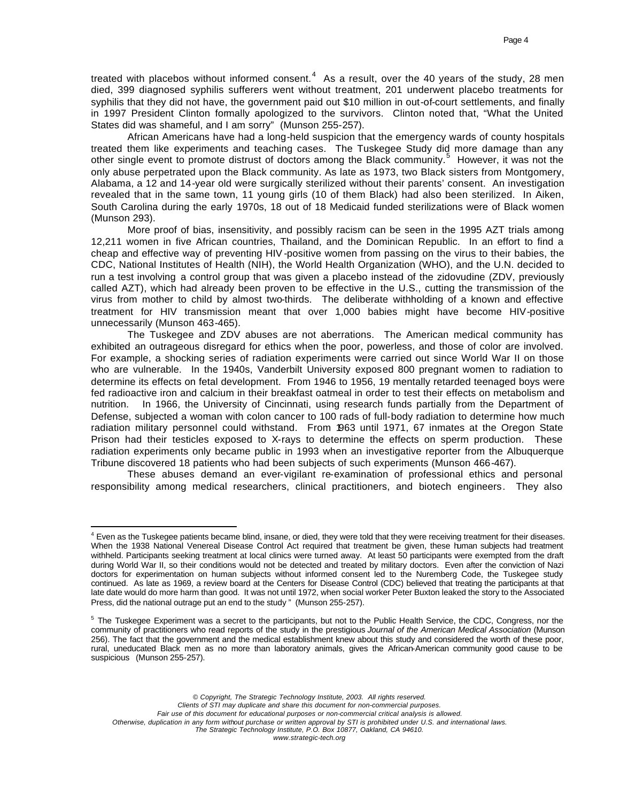treated with placebos without informed consent.<sup>4</sup> As a result, over the 40 years of the study, 28 men died, 399 diagnosed syphilis sufferers went without treatment, 201 underwent placebo treatments for syphilis that they did not have, the government paid out \$10 million in out-of-court settlements, and finally in 1997 President Clinton formally apologized to the survivors. Clinton noted that, "What the United States did was shameful, and I am sorry" (Munson 255-257).

African Americans have had a long-held suspicion that the emergency wards of county hospitals treated them like experiments and teaching cases. The Tuskegee Study did more damage than any other single event to promote distrust of doctors among the Black community.<sup>5</sup> However, it was not the only abuse perpetrated upon the Black community. As late as 1973, two Black sisters from Montgomery, Alabama, a 12 and 14-year old were surgically sterilized without their parents' consent. An investigation revealed that in the same town, 11 young girls (10 of them Black) had also been sterilized. In Aiken, South Carolina during the early 1970s, 18 out of 18 Medicaid funded sterilizations were of Black women (Munson 293).

More proof of bias, insensitivity, and possibly racism can be seen in the 1995 AZT trials among 12,211 women in five African countries, Thailand, and the Dominican Republic. In an effort to find a cheap and effective way of preventing HIV-positive women from passing on the virus to their babies, the CDC, National Institutes of Health (NIH), the World Health Organization (WHO), and the U.N. decided to run a test involving a control group that was given a placebo instead of the zidovudine (ZDV, previously called AZT), which had already been proven to be effective in the U.S., cutting the transmission of the virus from mother to child by almost two-thirds. The deliberate withholding of a known and effective treatment for HIV transmission meant that over 1,000 babies might have become HIV-positive unnecessarily (Munson 463-465).

The Tuskegee and ZDV abuses are not aberrations. The American medical community has exhibited an outrageous disregard for ethics when the poor, powerless, and those of color are involved. For example, a shocking series of radiation experiments were carried out since World War II on those who are vulnerable. In the 1940s, Vanderbilt University exposed 800 pregnant women to radiation to determine its effects on fetal development. From 1946 to 1956, 19 mentally retarded teenaged boys were fed radioactive iron and calcium in their breakfast oatmeal in order to test their effects on metabolism and nutrition. In 1966, the University of Cincinnati, using research funds partially from the Department of Defense, subjected a woman with colon cancer to 100 rads of full-body radiation to determine how much radiation military personnel could withstand. From 1963 until 1971, 67 inmates at the Oregon State Prison had their testicles exposed to X-rays to determine the effects on sperm production. These radiation experiments only became public in 1993 when an investigative reporter from the Albuquerque Tribune discovered 18 patients who had been subjects of such experiments (Munson 466-467).

These abuses demand an ever-vigilant re-examination of professional ethics and personal responsibility among medical researchers, clinical practitioners, and biotech engineers. They also

 $\overline{a}$ 

*© Copyright, The Strategic Technology Institute, 2003. All rights reserved.*

*Clients of STI may duplicate and share this document for non-commercial purposes.* 

*Fair use of this document for educational purposes or non-commercial critical analysis is allowed.* 

*Otherwise, duplication in any form without purchase or written approval by STI is prohibited under U.S. and international laws.*

<sup>&</sup>lt;sup>4</sup> Even as the Tuskegee patients became blind, insane, or died, they were told that they were receiving treatment for their diseases. When the 1938 National Venereal Disease Control Act required that treatment be given, these human subjects had treatment withheld. Participants seeking treatment at local clinics were turned away. At least 50 participants were exempted from the draft during World War II, so their conditions would not be detected and treated by military doctors. Even after the conviction of Nazi doctors for experimentation on human subjects without informed consent led to the Nuremberg Code, the Tuskegee study continued. As late as 1969, a review board at the Centers for Disease Control (CDC) believed that treating the participants at that late date would do more harm than good. It was not until 1972, when social worker Peter Buxton leaked the story to the Associated Press, did the national outrage put an end to the study " (Munson 255-257).

<sup>&</sup>lt;sup>5</sup> The Tuskegee Experiment was a secret to the participants, but not to the Public Health Service, the CDC, Congress, nor the community of practitioners who read reports of the study in the prestigious *Journal of the American Medical Association* (Munson 256). The fact that the government and the medical establishment knew about this study and considered the worth of these poor, rural, uneducated Black men as no more than laboratory animals, gives the African-American community good cause to be suspicious (Munson 255-257).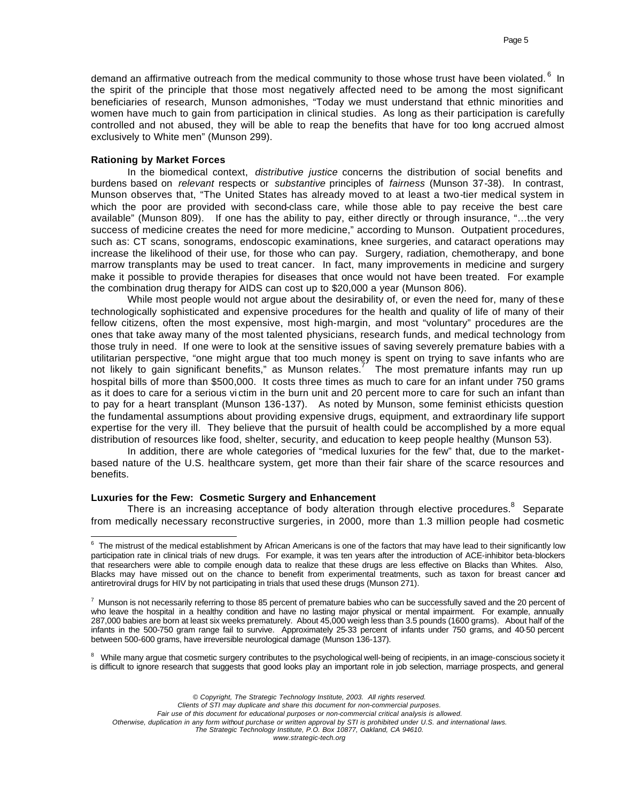demand an affirmative outreach from the medical community to those whose trust have been violated. <sup>6</sup> In the spirit of the principle that those most negatively affected need to be among the most significant beneficiaries of research, Munson admonishes, "Today we must understand that ethnic minorities and women have much to gain from participation in clinical studies. As long as their participation is carefully controlled and not abused, they will be able to reap the benefits that have for too long accrued almost exclusively to White men" (Munson 299).

### **Rationing by Market Forces**

In the biomedical context, *distributive justice* concerns the distribution of social benefits and burdens based on *relevant* respects or *substantive* principles of *fairness* (Munson 37-38). In contrast, Munson observes that, "The United States has already moved to at least a two-tier medical system in which the poor are provided with second-class care, while those able to pay receive the best care available" (Munson 809). If one has the ability to pay, either directly or through insurance, "…the very success of medicine creates the need for more medicine," according to Munson. Outpatient procedures, such as: CT scans, sonograms, endoscopic examinations, knee surgeries, and cataract operations may increase the likelihood of their use, for those who can pay. Surgery, radiation, chemotherapy, and bone marrow transplants may be used to treat cancer. In fact, many improvements in medicine and surgery make it possible to provide therapies for diseases that once would not have been treated. For example the combination drug therapy for AIDS can cost up to \$20,000 a year (Munson 806).

While most people would not argue about the desirability of, or even the need for, many of these technologically sophisticated and expensive procedures for the health and quality of life of many of their fellow citizens, often the most expensive, most high-margin, and most "voluntary" procedures are the ones that take away many of the most talented physicians, research funds, and medical technology from those truly in need. If one were to look at the sensitive issues of saving severely premature babies with a utilitarian perspective, "one might argue that too much money is spent on trying to save infants who are not likely to gain significant benefits," as Munson relates.<sup>7'</sup> The most premature infants may run up hospital bills of more than \$500,000. It costs three times as much to care for an infant under 750 grams as it does to care for a serious vi ctim in the burn unit and 20 percent more to care for such an infant than to pay for a heart transplant (Munson 136-137). As noted by Munson, some feminist ethicists question the fundamental assumptions about providing expensive drugs, equipment, and extraordinary life support expertise for the very ill. They believe that the pursuit of health could be accomplished by a more equal distribution of resources like food, shelter, security, and education to keep people healthy (Munson 53).

In addition, there are whole categories of "medical luxuries for the few" that, due to the marketbased nature of the U.S. healthcare system, get more than their fair share of the scarce resources and benefits.

# **Luxuries for the Few: Cosmetic Surgery and Enhancement**

There is an increasing acceptance of body alteration through elective procedures. $8$  Separate from medically necessary reconstructive surgeries, in 2000, more than 1.3 million people had cosmetic

<sup>8</sup> While many argue that cosmetic surgery contributes to the psychological well-being of recipients, in an image-conscious society it is difficult to ignore research that suggests that good looks play an important role in job selection, marriage prospects, and general

*© Copyright, The Strategic Technology Institute, 2003. All rights reserved.*

*Clients of STI may duplicate and share this document for non-commercial purposes.* 

*Fair use of this document for educational purposes or non-commercial critical analysis is allowed.* 

*Otherwise, duplication in any form without purchase or written approval by STI is prohibited under U.S. and international laws.*

e<br><sup>6</sup> The mistrust of the medical establishment by African Americans is one of the factors that may have lead to their significantly low participation rate in clinical trials of new drugs. For example, it was ten years after the introduction of ACE-inhibitor beta-blockers that researchers were able to compile enough data to realize that these drugs are less effective on Blacks than Whites. Also, Blacks may have missed out on the chance to benefit from experimental treatments, such as taxon for breast cancer and antiretroviral drugs for HIV by not participating in trials that used these drugs (Munson 271).

 $^7$  Munson is not necessarily referring to those 85 percent of premature babies who can be successfully saved and the 20 percent of who leave the hospital in a healthy condition and have no lasting major physical or mental impairment. For example, annually 287,000 babies are born at least six weeks prematurely. About 45,000 weigh less than 3.5 pounds (1600 grams). About half of the infants in the 500-750 gram range fail to survive. Approximately 25-33 percent of infants under 750 grams, and 40-50 percent between 500-600 grams, have irreversible neurological damage (Munson 136-137).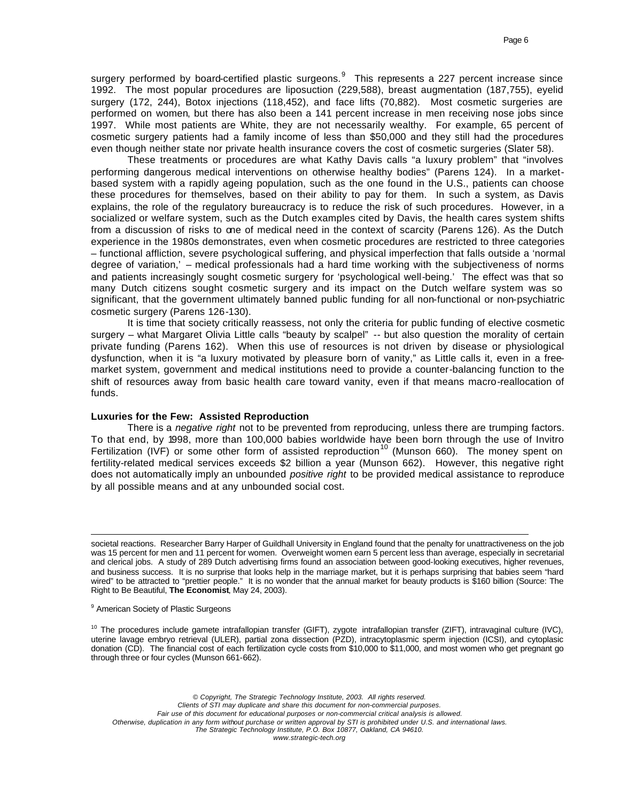surgery performed by board-certified plastic surgeons. $^9$  This represents a 227 percent increase since 1992. The most popular procedures are liposuction (229,588), breast augmentation (187,755), eyelid surgery (172, 244), Botox injections (118,452), and face lifts (70,882). Most cosmetic surgeries are performed on women, but there has also been a 141 percent increase in men receiving nose jobs since 1997. While most patients are White, they are not necessarily wealthy. For example, 65 percent of cosmetic surgery patients had a family income of less than \$50,000 and they still had the procedures even though neither state nor private health insurance covers the cost of cosmetic surgeries (Slater 58).

These treatments or procedures are what Kathy Davis calls "a luxury problem" that "involves performing dangerous medical interventions on otherwise healthy bodies" (Parens 124). In a marketbased system with a rapidly ageing population, such as the one found in the U.S., patients can choose these procedures for themselves, based on their ability to pay for them. In such a system, as Davis explains, the role of the regulatory bureaucracy is to reduce the risk of such procedures. However, in a socialized or welfare system, such as the Dutch examples cited by Davis, the health cares system shifts from a discussion of risks to one of medical need in the context of scarcity (Parens 126). As the Dutch experience in the 1980s demonstrates, even when cosmetic procedures are restricted to three categories – functional affliction, severe psychological suffering, and physical imperfection that falls outside a 'normal degree of variation,' – medical professionals had a hard time working with the subjectiveness of norms and patients increasingly sought cosmetic surgery for 'psychological well-being.' The effect was that so many Dutch citizens sought cosmetic surgery and its impact on the Dutch welfare system was so significant, that the government ultimately banned public funding for all non-functional or non-psychiatric cosmetic surgery (Parens 126-130).

It is time that society critically reassess, not only the criteria for public funding of elective cosmetic surgery – what Margaret Olivia Little calls "beauty by scalpel" -- but also question the morality of certain private funding (Parens 162). When this use of resources is not driven by disease or physiological dysfunction, when it is "a luxury motivated by pleasure born of vanity," as Little calls it, even in a freemarket system, government and medical institutions need to provide a counter-balancing function to the shift of resources away from basic health care toward vanity, even if that means macro-reallocation of funds.

## **Luxuries for the Few: Assisted Reproduction**

There is a *negative right* not to be prevented from reproducing, unless there are trumping factors. To that end, by 1998, more than 100,000 babies worldwide have been born through the use of Invitro Fertilization (IVF) or some other form of assisted reproduction<sup>10</sup> (Munson 660). The money spent on fertility-related medical services exceeds \$2 billion a year (Munson 662). However, this negative right does not automatically imply an unbounded *positive right* to be provided medical assistance to reproduce by all possible means and at any unbounded social cost.

societal reactions. Researcher Barry Harper of Guildhall University in England found that the penalty for unattractiveness on the job was 15 percent for men and 11 percent for women. Overweight women earn 5 percent less than average, especially in secretarial and clerical jobs. A study of 289 Dutch advertising firms found an association between good-looking executives, higher revenues, and business success. It is no surprise that looks help in the marriage market, but it is perhaps surprising that babies seem "hard wired" to be attracted to "prettier people." It is no wonder that the annual market for beauty products is \$160 billion (Source: The Right to Be Beautiful, **The Economist**, May 24, 2003).

<sup>9</sup> American Society of Plastic Surgeons

 $\overline{a}$ 

<sup>10</sup> The procedures include gamete intrafallopian transfer (GIFT), zygote intrafallopian transfer (ZIFT), intravaginal culture (IVC), uterine lavage embryo retrieval (ULER), partial zona dissection (PZD), intracytoplasmic sperm injection (ICSI), and cytoplasic donation (CD). The financial cost of each fertilization cycle costs from \$10,000 to \$11,000, and most women who get pregnant go through three or four cycles (Munson 661-662).

*© Copyright, The Strategic Technology Institute, 2003. All rights reserved. Clients of STI may duplicate and share this document for non-commercial purposes. Fair use of this document for educational purposes or non-commercial critical analysis is allowed. Otherwise, duplication in any form without purchase or written approval by STI is prohibited under U.S. and international laws. The Strategic Technology Institute, P.O. Box 10877, Oakland, CA 94610. www.strategic-tech.org*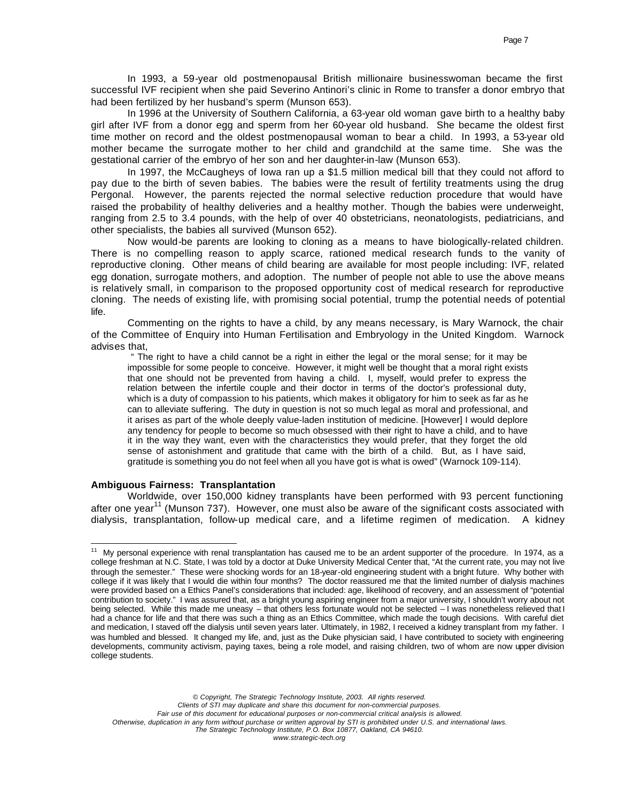In 1993, a 59-year old postmenopausal British millionaire businesswoman became the first successful IVF recipient when she paid Severino Antinori's clinic in Rome to transfer a donor embryo that had been fertilized by her husband's sperm (Munson 653).

In 1996 at the University of Southern California, a 63-year old woman gave birth to a healthy baby girl after IVF from a donor egg and sperm from her 60-year old husband. She became the oldest first time mother on record and the oldest postmenopausal woman to bear a child. In 1993, a 53-year old mother became the surrogate mother to her child and grandchild at the same time. She was the gestational carrier of the embryo of her son and her daughter-in-law (Munson 653).

In 1997, the McCaugheys of Iowa ran up a \$1.5 million medical bill that they could not afford to pay due to the birth of seven babies. The babies were the result of fertility treatments using the drug Pergonal. However, the parents rejected the normal selective reduction procedure that would have raised the probability of healthy deliveries and a healthy mother. Though the babies were underweight, ranging from 2.5 to 3.4 pounds, with the help of over 40 obstetricians, neonatologists, pediatricians, and other specialists, the babies all survived (Munson 652).

Now would-be parents are looking to cloning as a means to have biologically-related children. There is no compelling reason to apply scarce, rationed medical research funds to the vanity of reproductive cloning. Other means of child bearing are available for most people including: IVF, related egg donation, surrogate mothers, and adoption. The number of people not able to use the above means is relatively small, in comparison to the proposed opportunity cost of medical research for reproductive cloning. The needs of existing life, with promising social potential, trump the potential needs of potential life.

Commenting on the rights to have a child, by any means necessary, is Mary Warnock, the chair of the Committee of Enquiry into Human Fertilisation and Embryology in the United Kingdom. Warnock advises that,

 " The right to have a child cannot be a right in either the legal or the moral sense; for it may be impossible for some people to conceive. However, it might well be thought that a moral right exists that one should not be prevented from having a child. I, myself, would prefer to express the relation between the infertile couple and their doctor in terms of the doctor's professional duty, which is a duty of compassion to his patients, which makes it obligatory for him to seek as far as he can to alleviate suffering. The duty in question is not so much legal as moral and professional, and it arises as part of the whole deeply value-laden institution of medicine. [However] I would deplore any tendency for people to become so much obsessed with their right to have a child, and to have it in the way they want, even with the characteristics they would prefer, that they forget the old sense of astonishment and gratitude that came with the birth of a child. But, as I have said, gratitude is something you do not feel when all you have got is what is owed" (Warnock 109-114).

# **Ambiguous Fairness: Transplantation**

Worldwide, over 150,000 kidney transplants have been performed with 93 percent functioning after one year<sup>11</sup> (Munson 737). However, one must also be aware of the significant costs associated with dialysis, transplantation, follow-up medical care, and a lifetime regimen of medication. A kidney

*© Copyright, The Strategic Technology Institute, 2003. All rights reserved.*

*Clients of STI may duplicate and share this document for non-commercial purposes.* 

*Fair use of this document for educational purposes or non-commercial critical analysis is allowed.* 

*Otherwise, duplication in any form without purchase or written approval by STI is prohibited under U.S. and international laws. The Strategic Technology Institute, P.O. Box 10877, Oakland, CA 94610.*

 $\overline{a}$  $11$  My personal experience with renal transplantation has caused me to be an ardent supporter of the procedure. In 1974, as a college freshman at N.C. State, I was told by a doctor at Duke University Medical Center that, "At the current rate, you may not live through the semester." These were shocking words for an 18-year-old engineering student with a bright future. Why bother with college if it was likely that I would die within four months? The doctor reassured me that the limited number of dialysis machines were provided based on a Ethics Panel's considerations that included: age, likelihood of recovery, and an assessment of "potential contribution to society." I was assured that, as a bright young aspiring engineer from a major university, I shouldn't worry about not being selected. While this made me uneasy – that others less fortunate would not be selected – I was nonetheless relieved that I had a chance for life and that there was such a thing as an Ethics Committee, which made the tough decisions. With careful diet and medication, I staved off the dialysis until seven years later. Ultimately, in 1982, I received a kidney transplant from my father. I was humbled and blessed. It changed my life, and, just as the Duke physician said, I have contributed to society with engineering developments, community activism, paying taxes, being a role model, and raising children, two of whom are now upper division college students.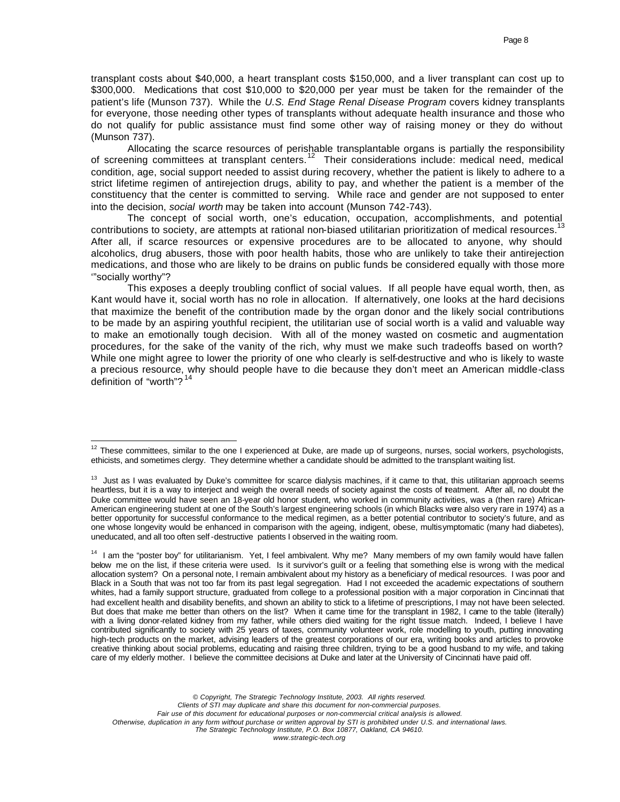transplant costs about \$40,000, a heart transplant costs \$150,000, and a liver transplant can cost up to \$300,000. Medications that cost \$10,000 to \$20,000 per year must be taken for the remainder of the patient's life (Munson 737). While the *U.S. End Stage Renal Disease Program* covers kidney transplants for everyone, those needing other types of transplants without adequate health insurance and those who do not qualify for public assistance must find some other way of raising money or they do without (Munson 737).

Allocating the scarce resources of perishable transplantable organs is partially the responsibility of screening committees at transplant centers.<sup>12</sup> Their considerations include: medical need, medical condition, age, social support needed to assist during recovery, whether the patient is likely to adhere to a strict lifetime regimen of antirejection drugs, ability to pay, and whether the patient is a member of the constituency that the center is committed to serving. While race and gender are not supposed to enter into the decision, *social worth* may be taken into account (Munson 742-743).

The concept of social worth, one's education, occupation, accomplishments, and potential contributions to society, are attempts at rational non-biased utilitarian prioritization of medical resources.<sup>13</sup> After all, if scarce resources or expensive procedures are to be allocated to anyone, why should alcoholics, drug abusers, those with poor health habits, those who are unlikely to take their antirejection medications, and those who are likely to be drains on public funds be considered equally with those more '"socially worthy"?

This exposes a deeply troubling conflict of social values. If all people have equal worth, then, as Kant would have it, social worth has no role in allocation. If alternatively, one looks at the hard decisions that maximize the benefit of the contribution made by the organ donor and the likely social contributions to be made by an aspiring youthful recipient, the utilitarian use of social worth is a valid and valuable way to make an emotionally tough decision. With all of the money wasted on cosmetic and augmentation procedures, for the sake of the vanity of the rich, why must we make such tradeoffs based on worth? While one might agree to lower the priority of one who clearly is self-destructive and who is likely to waste a precious resource, why should people have to die because they don't meet an American middle-class definition of "worth"?<sup>14</sup>

 $\overline{a}$ 

<sup>14</sup> I am the "poster boy" for utilitarianism. Yet, I feel ambivalent. Why me? Many members of my own family would have fallen below me on the list, if these criteria were used. Is it survivor's guilt or a feeling that something else is wrong with the medical allocation system? On a personal note, I remain ambivalent about my history as a beneficiary of medical resources. I was poor and Black in a South that was not too far from its past legal segregation. Had I not exceeded the academic expectations of southern whites, had a family support structure, graduated from college to a professional position with a major corporation in Cincinnati that had excellent health and disability benefits, and shown an ability to stick to a lifetime of prescriptions, I may not have been selected. But does that make me better than others on the list? When it came time for the transplant in 1982, I came to the table (literally) with a living donor-related kidney from my father, while others died waiting for the right tissue match. Indeed, I believe I have contributed significantly to society with 25 years of taxes, community volunteer work, role modelling to youth, putting innovating high-tech products on the market, advising leaders of the greatest corporations of our era, writing books and articles to provoke creative thinking about social problems, educating and raising three children, trying to be a good husband to my wife, and taking care of my elderly mother. I believe the committee decisions at Duke and later at the University of Cincinnati have paid off.

 $12$  These committees, similar to the one I experienced at Duke, are made up of surgeons, nurses, social workers, psychologists, ethicists, and sometimes clergy. They determine whether a candidate should be admitted to the transplant waiting list.

<sup>&</sup>lt;sup>13</sup> Just as I was evaluated by Duke's committee for scarce dialysis machines, if it came to that, this utilitarian approach seems heartless, but it is a way to interject and weigh the overall needs of society against the costs of treatment. After all, no doubt the Duke committee would have seen an 18-year old honor student, who worked in community activities, was a (then rare) African-American engineering student at one of the South's largest engineering schools (in which Blacks were also very rare in 1974) as a better opportunity for successful conformance to the medical regimen, as a better potential contributor to society's future, and as one whose longevity would be enhanced in comparison with the ageing, indigent, obese, multisymptomatic (many had diabetes), uneducated, and all too often self -destructive patients I observed in the waiting room.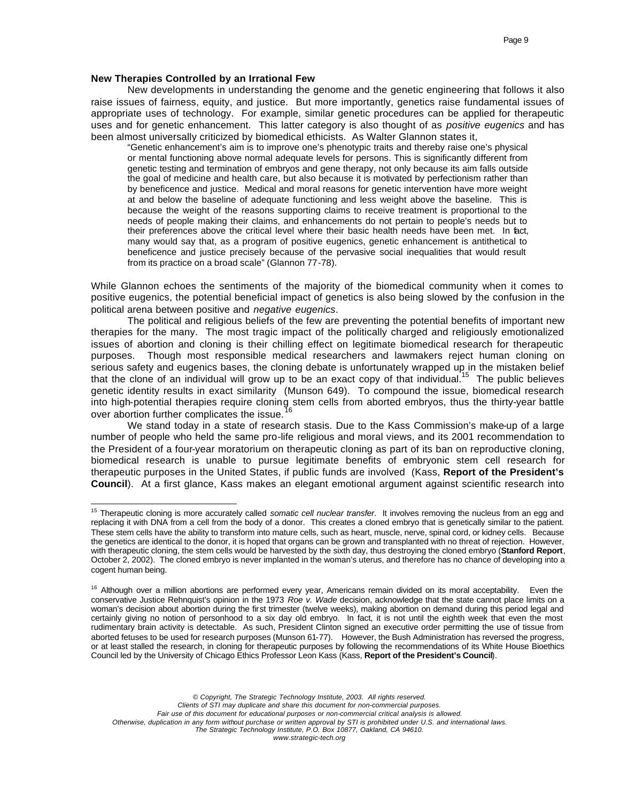# **New Therapies Controlled by an Irrational Few**

 $\overline{a}$ 

New developments in understanding the genome and the genetic engineering that follows it also raise issues of fairness, equity, and justice. But more importantly, genetics raise fundamental issues of appropriate uses of technology. For example, similar genetic procedures can be applied for therapeutic uses and for genetic enhancement. This latter category is also thought of as *positive eugenics* and has been almost universally criticized by biomedical ethicists. As Walter Glannon states it,

"Genetic enhancement's aim is to improve one's phenotypic traits and thereby raise one's physical or mental functioning above normal adequate levels for persons. This is significantly different from genetic testing and termination of embryos and gene therapy, not only because its aim falls outside the goal of medicine and health care, but also because it is motivated by perfectionism rather than by beneficence and justice. Medical and moral reasons for genetic intervention have more weight at and below the baseline of adequate functioning and less weight above the baseline. This is because the weight of the reasons supporting claims to receive treatment is proportional to the needs of people making their claims, and enhancements do not pertain to people's needs but to their preferences above the critical level where their basic health needs have been met. In fact, many would say that, as a program of positive eugenics, genetic enhancement is antithetical to beneficence and justice precisely because of the pervasive social inequalities that would result from its practice on a broad scale" (Glannon 77-78).

While Glannon echoes the sentiments of the majority of the biomedical community when it comes to positive eugenics, the potential beneficial impact of genetics is also being slowed by the confusion in the political arena between positive and *negative eugenics*.

The political and religious beliefs of the few are preventing the potential benefits of important new therapies for the many. The most tragic impact of the politically charged and religiously emotionalized issues of abortion and cloning is their chilling effect on legitimate biomedical research for therapeutic purposes. Though most responsible medical researchers and lawmakers reject human cloning on serious safety and eugenics bases, the cloning debate is unfortunately wrapped up in the mistaken belief that the clone of an individual will grow up to be an exact copy of that individual.<sup>15</sup> The public believes genetic identity results in exact similarity (Munson 649). To compound the issue, biomedical research into high-potential therapies require cloning stem cells from aborted embryos, thus the thirty-year battle over abortion further complicates the issue.<sup>1</sup>

We stand today in a state of research stasis. Due to the Kass Commission's make-up of a large number of people who held the same pro-life religious and moral views, and its 2001 recommendation to the President of a four-year moratorium on therapeutic cloning as part of its ban on reproductive cloning, biomedical research is unable to pursue legitimate benefits of embryonic stem cell research for therapeutic purposes in the United States, if public funds are involved (Kass, **Report of the President's Council**). At a first glance, Kass makes an elegant emotional argument against scientific research into

<sup>15</sup> Therapeutic cloning is more accurately called *somatic cell nuclear transfer*. It involves removing the nucleus from an egg and replacing it with DNA from a cell from the body of a donor. This creates a cloned embryo that is genetically similar to the patient. These stem cells have the ability to transform into mature cells, such as heart, muscle, nerve, spinal cord, or kidney cells. Because the genetics are identical to the donor, it is hoped that organs can be grown and transplanted with no threat of rejection. However, with therapeutic cloning, the stem cells would be harvested by the sixth day, thus destroying the cloned embryo (**Stanford Report**, October 2, 2002). The cloned embryo is never implanted in the woman's uterus, and therefore has no chance of developing into a cogent human being.

<sup>&</sup>lt;sup>16</sup> Although over a million abortions are performed every year, Americans remain divided on its moral acceptability. Even the conservative Justice Rehnquist's opinion in the 1973 *Roe v. Wade* decision, acknowledge that the state cannot place limits on a woman's decision about abortion during the first trimester (twelve weeks), making abortion on demand during this period legal and certainly giving no notion of personhood to a six day old embryo. In fact, it is not until the eighth week that even the most rudimentary brain activity is detectable. As such, President Clinton signed an executive order permitting the use of tissue from aborted fetuses to be used for research purposes (Munson 61-77). However, the Bush Administration has reversed the progress, or at least stalled the research, in cloning for therapeutic purposes by following the recommendations of its White House Bioethics Council led by the University of Chicago Ethics Professor Leon Kass (Kass, **Report of the President's Council**).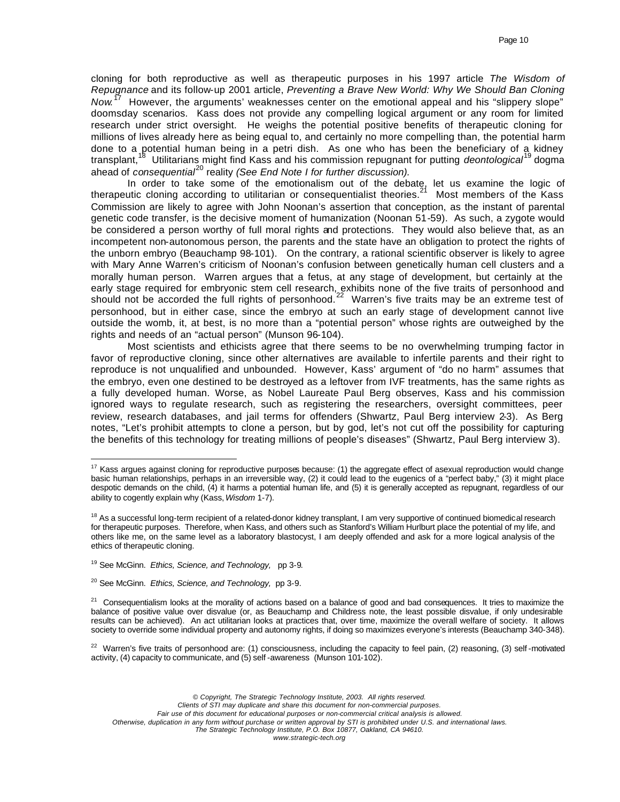cloning for both reproductive as well as therapeutic purposes in his 1997 article *The Wisdom of Repugnance* and its follow-up 2001 article, *Preventing a Brave New World: Why We Should Ban Cloning*  Now.<sup>17</sup> However, the arguments' weaknesses center on the emotional appeal and his "slippery slope" doomsday scenarios. Kass does not provide any compelling logical argument or any room for limited research under strict oversight. He weighs the potential positive benefits of therapeutic cloning for millions of lives already here as being equal to, and certainly no more compelling than, the potential harm done to a potential human being in a petri dish. As one who has been the beneficiary of a kidney transplant,<sup>18</sup> Utilitarians might find Kass and his commission repugnant for putting *deontological*<sup>19</sup> dogma ahead of *consequential*<sup>20</sup> reality *(See End Note I for further discussion)*.

In order to take some of the emotionalism out of the debate, let us examine the logic of therapeutic cloning according to utilitarian or consequentialist theories.<sup>21</sup> Most members of the Kass Commission are likely to agree with John Noonan's assertion that conception, as the instant of parental genetic code transfer, is the decisive moment of humanization (Noonan 51-59). As such, a zygote would be considered a person worthy of full moral rights and protections. They would also believe that, as an incompetent non-autonomous person, the parents and the state have an obligation to protect the rights of the unborn embryo (Beauchamp 98-101). On the contrary, a rational scientific observer is likely to agree with Mary Anne Warren's criticism of Noonan's confusion between genetically human cell clusters and a morally human person. Warren argues that a fetus, at any stage of development, but certainly at the early stage required for embryonic stem cell research, exhibits none of the five traits of personhood and should not be accorded the full rights of personhood.<sup>22</sup> Warren's five traits may be an extreme test of personhood, but in either case, since the embryo at such an early stage of development cannot live outside the womb, it, at best, is no more than a "potential person" whose rights are outweighed by the rights and needs of an "actual person" (Munson 96-104).

Most scientists and ethicists agree that there seems to be no overwhelming trumping factor in favor of reproductive cloning, since other alternatives are available to infertile parents and their right to reproduce is not unqualified and unbounded. However, Kass' argument of "do no harm" assumes that the embryo, even one destined to be destroyed as a leftover from IVF treatments, has the same rights as a fully developed human. Worse, as Nobel Laureate Paul Berg observes, Kass and his commission ignored ways to regulate research, such as registering the researchers, oversight committees, peer review, research databases, and jail terms for offenders (Shwartz, Paul Berg interview 2-3). As Berg notes, "Let's prohibit attempts to clone a person, but by god, let's not cut off the possibility for capturing the benefits of this technology for treating millions of people's diseases" (Shwartz, Paul Berg interview 3).

 $\overline{a}$ 

<sup>22</sup> Warren's five traits of personhood are: (1) consciousness, including the capacity to feel pain, (2) reasoning, (3) self-motivated activity, (4) capacity to communicate, and (5) self -awareness (Munson 101-102).

 $17$  Kass argues against cloning for reproductive purposes because: (1) the aggregate effect of asexual reproduction would change basic human relationships, perhaps in an irreversible way, (2) it could lead to the eugenics of a "perfect baby," (3) it might place despotic demands on the child, (4) it harms a potential human life, and (5) it is generally accepted as repugnant, regardless of our ability to cogently explain why (Kass, *Wisdom* 1-7).

<sup>&</sup>lt;sup>18</sup> As a successful long-term recipient of a related-donor kidney transplant, I am very supportive of continued biomedical research for therapeutic purposes. Therefore, when Kass, and others such as Stanford's William Hurlburt place the potential of my life, and others like me, on the same level as a laboratory blastocyst, I am deeply offended and ask for a more logical analysis of the ethics of therapeutic cloning.

<sup>19</sup> See McGinn. *Ethics, Science, and Technology,* pp 3-9.

<sup>20</sup> See McGinn. *Ethics, Science, and Technology,* pp 3-9.

 $21$  Consequentialism looks at the morality of actions based on a balance of good and bad consequences. It tries to maximize the balance of positive value over disvalue (or, as Beauchamp and Childress note, the least possible disvalue, if only undesirable results can be achieved). An act utilitarian looks at practices that, over time, maximize the overall welfare of society. It allows society to override some individual property and autonomy rights, if doing so maximizes everyone's interests (Beauchamp 340-348).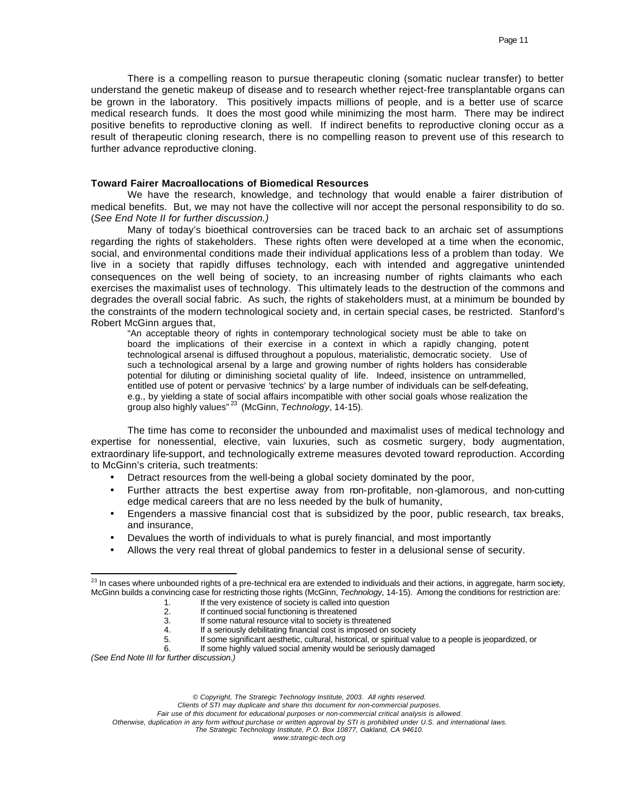There is a compelling reason to pursue therapeutic cloning (somatic nuclear transfer) to better understand the genetic makeup of disease and to research whether reject-free transplantable organs can be grown in the laboratory. This positively impacts millions of people, and is a better use of scarce medical research funds. It does the most good while minimizing the most harm. There may be indirect positive benefits to reproductive cloning as well. If indirect benefits to reproductive cloning occur as a result of therapeutic cloning research, there is no compelling reason to prevent use of this research to further advance reproductive cloning.

# **Toward Fairer Macroallocations of Biomedical Resources**

We have the research, knowledge, and technology that would enable a fairer distribution of medical benefits. But, we may not have the collective will nor accept the personal responsibility to do so. (*See End Note II for further discussion.)*

Many of today's bioethical controversies can be traced back to an archaic set of assumptions regarding the rights of stakeholders. These rights often were developed at a time when the economic, social, and environmental conditions made their individual applications less of a problem than today. We live in a society that rapidly diffuses technology, each with intended and aggregative unintended consequences on the well being of society, to an increasing number of rights claimants who each exercises the maximalist uses of technology. This ultimately leads to the destruction of the commons and degrades the overall social fabric. As such, the rights of stakeholders must, at a minimum be bounded by the constraints of the modern technological society and, in certain special cases, be restricted. Stanford's Robert McGinn argues that,

"An acceptable theory of rights in contemporary technological society must be able to take on board the implications of their exercise in a context in which a rapidly changing, potent technological arsenal is diffused throughout a populous, materialistic, democratic society. Use of such a technological arsenal by a large and growing number of rights holders has considerable potential for diluting or diminishing societal quality of life. Indeed, insistence on untrammelled, entitled use of potent or pervasive 'technics' by a large number of individuals can be self-defeating, e.g., by yielding a state of social affairs incompatible with other social goals whose realization the group also highly values" <sup>23</sup> (McGinn, *Technology*, 14-15).

The time has come to reconsider the unbounded and maximalist uses of medical technology and expertise for nonessential, elective, vain luxuries, such as cosmetic surgery, body augmentation, extraordinary life-support, and technologically extreme measures devoted toward reproduction. According to McGinn's criteria, such treatments:

- Detract resources from the well-being a global society dominated by the poor,
- Further attracts the best expertise away from non-profitable, non-glamorous, and non-cutting edge medical careers that are no less needed by the bulk of humanity,
- Engenders a massive financial cost that is subsidized by the poor, public research, tax breaks, and insurance,
- Devalues the worth of individuals to what is purely financial, and most importantly
- Allows the very real threat of global pandemics to fester in a delusional sense of security.

If some significant aesthetic, cultural, historical, or spiritual value to a people is jeopardized, or

*(See End Note III for further discussion.)*

 $\overline{a}$  $^{23}$  In cases where unbounded rights of a pre-technical era are extended to individuals and their actions, in aggregate, harm society, McGinn builds a convincing case for restricting those rights (McGinn, *Technology*, 14-15). Among the conditions for restriction are:

<sup>1.</sup> If the very existence of society is called into question<br>2. If continued social functioning is threatened

<sup>2.</sup> If continued social functioning is threatened<br>3. If some natural resource vital to society is the

<sup>3.</sup> If some natural resource vital to society is threatened<br>4. If a seriously debilitating financial cost is imposed on s

<sup>4.</sup> If a seriously debilitating financial cost is imposed on society<br>5. If some significant aesthetic. cultural. historical. or spiritual va

<sup>6.</sup> If some highly valued social amenity would be seriously damaged

*<sup>©</sup> Copyright, The Strategic Technology Institute, 2003. All rights reserved.*

*Clients of STI may duplicate and share this document for non-commercial purposes.* 

*Fair use of this document for educational purposes or non-commercial critical analysis is allowed.* 

*Otherwise, duplication in any form without purchase or written approval by STI is prohibited under U.S. and international laws. The Strategic Technology Institute, P.O. Box 10877, Oakland, CA 94610.*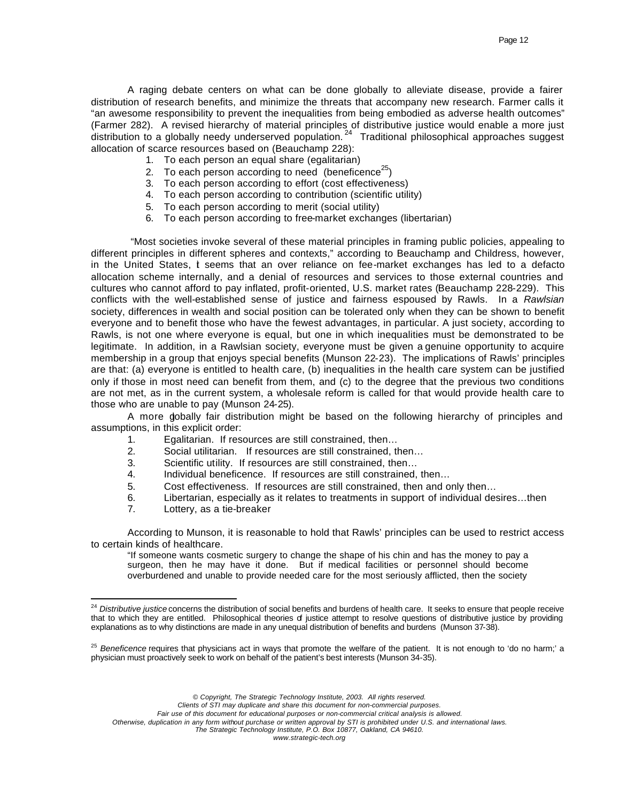A raging debate centers on what can be done globally to alleviate disease, provide a fairer distribution of research benefits, and minimize the threats that accompany new research. Farmer calls it "an awesome responsibility to prevent the inequalities from being embodied as adverse health outcomes" (Farmer 282). A revised hierarchy of material principles of distributive justice would enable a more just distribution to a globally needy underserved population.<sup>24</sup> Traditional philosophical approaches suggest allocation of scarce resources based on (Beauchamp 228):

- 1. To each person an equal share (egalitarian)
- 2. To each person according to need (beneficence $25$ )
- 3. To each person according to effort (cost effectiveness)
- 4. To each person according to contribution (scientific utility)
- 5. To each person according to merit (social utility)
- 6. To each person according to free-market exchanges (libertarian)

 "Most societies invoke several of these material principles in framing public policies, appealing to different principles in different spheres and contexts," according to Beauchamp and Childress, however, in the United States, t seems that an over reliance on fee-market exchanges has led to a defacto allocation scheme internally, and a denial of resources and services to those external countries and cultures who cannot afford to pay inflated, profit-oriented, U.S. market rates (Beauchamp 228-229). This conflicts with the well-established sense of justice and fairness espoused by Rawls. In a *Rawlsian* society, differences in wealth and social position can be tolerated only when they can be shown to benefit everyone and to benefit those who have the fewest advantages, in particular. A just society, according to Rawls, is not one where everyone is equal, but one in which inequalities must be demonstrated to be legitimate. In addition, in a Rawlsian society, everyone must be given a genuine opportunity to acquire membership in a group that enjoys special benefits (Munson 22-23). The implications of Rawls' principles are that: (a) everyone is entitled to health care, (b) inequalities in the health care system can be justified only if those in most need can benefit from them, and (c) to the degree that the previous two conditions are not met, as in the current system, a wholesale reform is called for that would provide health care to those who are unable to pay (Munson 24-25).

A more gobally fair distribution might be based on the following hierarchy of principles and assumptions, in this explicit order:

- 1. Egalitarian. If resources are still constrained, then…
- 2. Social utilitarian. If resources are still constrained, then…
- 3. Scientific utility. If resources are still constrained, then…
- 4. Individual beneficence. If resources are still constrained, then…
- 5. Cost effectiveness. If resources are still constrained, then and only then…
- 6. Libertarian, especially as it relates to treatments in support of individual desires…then
- 7. Lottery, as a tie-breaker

 $\overline{a}$ 

According to Munson, it is reasonable to hold that Rawls' principles can be used to restrict access to certain kinds of healthcare.

"If someone wants cosmetic surgery to change the shape of his chin and has the money to pay a surgeon, then he may have it done. But if medical facilities or personnel should become overburdened and unable to provide needed care for the most seriously afflicted, then the society

*© Copyright, The Strategic Technology Institute, 2003. All rights reserved.*

*Clients of STI may duplicate and share this document for non-commercial purposes.* 

*Fair use of this document for educational purposes or non-commercial critical analysis is allowed.* 

*Otherwise, duplication in any form without purchase or written approval by STI is prohibited under U.S. and international laws. The Strategic Technology Institute, P.O. Box 10877, Oakland, CA 94610.*

<sup>&</sup>lt;sup>24</sup> Distributive justice concerns the distribution of social benefits and burdens of health care. It seeks to ensure that people receive that to which they are entitled. Philosophical theories of justice attempt to resolve questions of distributive justice by providing explanations as to why distinctions are made in any unequal distribution of benefits and burdens (Munson 37-38).

<sup>&</sup>lt;sup>25</sup> Beneficence requires that physicians act in ways that promote the welfare of the patient. It is not enough to 'do no harm;' a physician must proactively seek to work on behalf of the patient's best interests (Munson 34-35).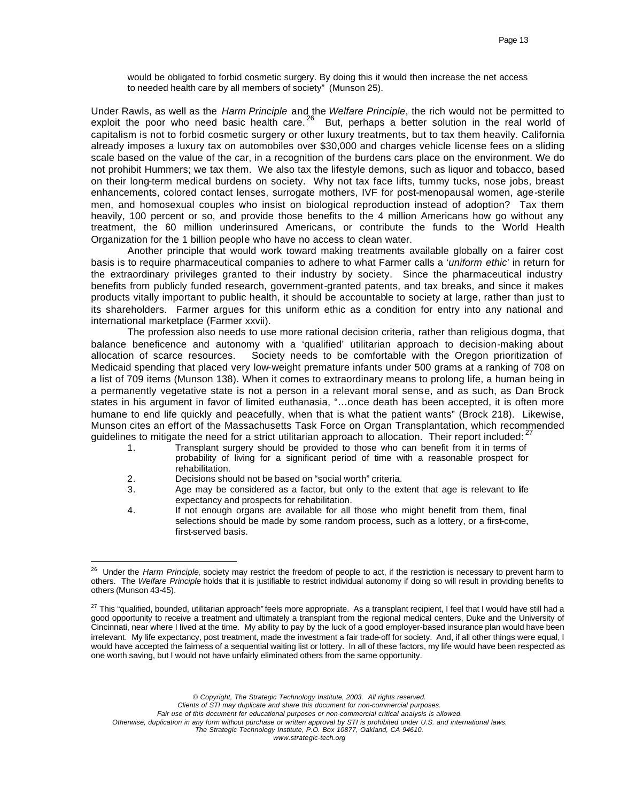would be obligated to forbid cosmetic surgery. By doing this it would then increase the net access to needed health care by all members of society" (Munson 25).

Under Rawls, as well as the *Harm Principle* and the *Welfare Principle*, the rich would not be permitted to exploit the poor who need basic health care.  $^{26}$  But, perhaps a better solution in the real world of capitalism is not to forbid cosmetic surgery or other luxury treatments, but to tax them heavily. California already imposes a luxury tax on automobiles over \$30,000 and charges vehicle license fees on a sliding scale based on the value of the car, in a recognition of the burdens cars place on the environment. We do not prohibit Hummers; we tax them. We also tax the lifestyle demons, such as liquor and tobacco, based on their long-term medical burdens on society. Why not tax face lifts, tummy tucks, nose jobs, breast enhancements, colored contact lenses, surrogate mothers, IVF for post-menopausal women, age-sterile men, and homosexual couples who insist on biological reproduction instead of adoption? Tax them heavily, 100 percent or so, and provide those benefits to the 4 million Americans how go without any treatment, the 60 million underinsured Americans, or contribute the funds to the World Health Organization for the 1 billion people who have no access to clean water.

Another principle that would work toward making treatments available globally on a fairer cost basis is to require pharmaceutical companies to adhere to what Farmer calls a '*uniform ethic*' in return for the extraordinary privileges granted to their industry by society. Since the pharmaceutical industry benefits from publicly funded research, government-granted patents, and tax breaks, and since it makes products vitally important to public health, it should be accountable to society at large, rather than just to its shareholders. Farmer argues for this uniform ethic as a condition for entry into any national and international marketplace (Farmer xxvii).

The profession also needs to use more rational decision criteria, rather than religious dogma, that balance beneficence and autonomy with a 'qualified' utilitarian approach to decision-making about allocation of scarce resources. Society needs to be comfortable with the Oregon prioritization of Medicaid spending that placed very low-weight premature infants under 500 grams at a ranking of 708 on a list of 709 items (Munson 138). When it comes to extraordinary means to prolong life, a human being in a permanently vegetative state is not a person in a relevant moral sense, and as such, as Dan Brock states in his argument in favor of limited euthanasia, "…once death has been accepted, it is often more humane to end life quickly and peacefully, when that is what the patient wants" (Brock 218). Likewise, Munson cites an effort of the Massachusetts Task Force on Organ Transplantation, which recommended guidelines to mitigate the need for a strict utilitarian approach to allocation. Their report included:  $27$ 

- 1. Transplant surgery should be provided to those who can benefit from it in terms of probability of living for a significant period of time with a reasonable prospect for rehabilitation.
- 2. Decisions should not be based on "social worth" criteria.

 $\overline{a}$ 

- 3. Age may be considered as a factor, but only to the extent that age is relevant to life expectancy and prospects for rehabilitation.
- 4. If not enough organs are available for all those who might benefit from them, final selections should be made by some random process, such as a lottery, or a first-come, first-served basis.

*© Copyright, The Strategic Technology Institute, 2003. All rights reserved.*

*Clients of STI may duplicate and share this document for non-commercial purposes.* 

*Fair use of this document for educational purposes or non-commercial critical analysis is allowed.* 

*Otherwise, duplication in any form without purchase or written approval by STI is prohibited under U.S. and international laws.*

<sup>&</sup>lt;sup>26</sup> Under the *Harm Principle*, society may restrict the freedom of people to act, if the restriction is necessary to prevent harm to others. The *Welfare Principle* holds that it is justifiable to restrict individual autonomy if doing so will result in providing benefits to others (Munson 43-45).

<sup>&</sup>lt;sup>27</sup> This "qualified, bounded, utilitarian approach" feels more appropriate. As a transplant recipient, I feel that I would have still had a good opportunity to receive a treatment and ultimately a transplant from the regional medical centers, Duke and the University of Cincinnati, near where I lived at the time. My ability to pay by the luck of a good employer-based insurance plan would have been irrelevant. My life expectancy, post treatment, made the investment a fair trade-off for society. And, if all other things were equal, I would have accepted the fairness of a sequential waiting list or lottery. In all of these factors, my life would have been respected as one worth saving, but I would not have unfairly eliminated others from the same opportunity.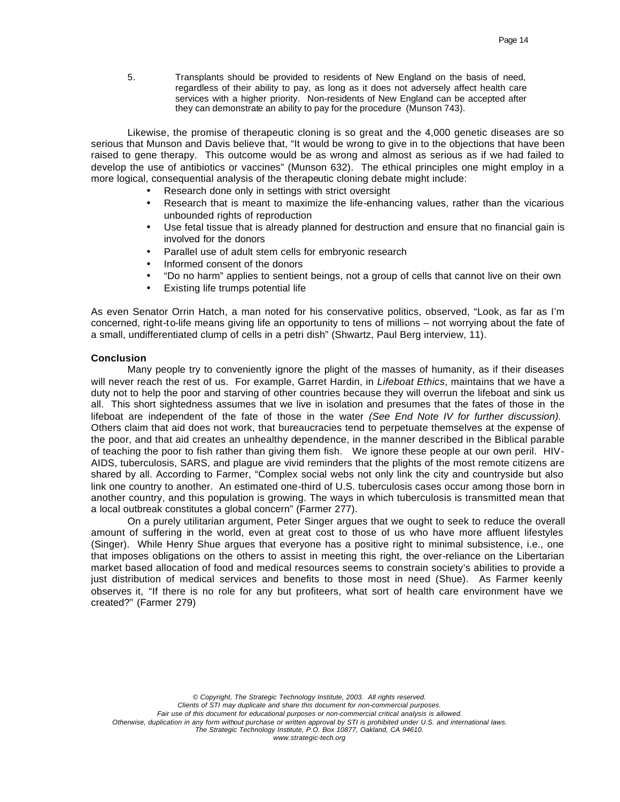5. Transplants should be provided to residents of New England on the basis of need, regardless of their ability to pay, as long as it does not adversely affect health care services with a higher priority. Non-residents of New England can be accepted after they can demonstrate an ability to pay for the procedure (Munson 743).

Likewise, the promise of therapeutic cloning is so great and the 4,000 genetic diseases are so serious that Munson and Davis believe that, "It would be wrong to give in to the objections that have been raised to gene therapy. This outcome would be as wrong and almost as serious as if we had failed to develop the use of antibiotics or vaccines" (Munson 632). The ethical principles one might employ in a more logical, consequential analysis of the therapeutic cloning debate might include:

- Research done only in settings with strict oversight
- Research that is meant to maximize the life-enhancing values, rather than the vicarious unbounded rights of reproduction
- Use fetal tissue that is already planned for destruction and ensure that no financial gain is involved for the donors
- Parallel use of adult stem cells for embryonic research
- Informed consent of the donors
- "Do no harm" applies to sentient beings, not a group of cells that cannot live on their own
- Existing life trumps potential life

As even Senator Orrin Hatch, a man noted for his conservative politics, observed, "Look, as far as I'm concerned, right-to-life means giving life an opportunity to tens of millions – not worrying about the fate of a small, undifferentiated clump of cells in a petri dish" (Shwartz, Paul Berg interview, 11).

### **Conclusion**

Many people try to conveniently ignore the plight of the masses of humanity, as if their diseases will never reach the rest of us. For example, Garret Hardin, in *Lifeboat Ethics*, maintains that we have a duty not to help the poor and starving of other countries because they will overrun the lifeboat and sink us all. This short sightedness assumes that we live in isolation and presumes that the fates of those in the lifeboat are independent of the fate of those in the water *(See End Note IV for further discussion).*  Others claim that aid does not work, that bureaucracies tend to perpetuate themselves at the expense of the poor, and that aid creates an unhealthy dependence, in the manner described in the Biblical parable of teaching the poor to fish rather than giving them fish. We ignore these people at our own peril. HIV-AIDS, tuberculosis, SARS, and plague are vivid reminders that the plights of the most remote citizens are shared by all. According to Farmer, "Complex social webs not only link the city and countryside but also link one country to another. An estimated one-third of U.S. tuberculosis cases occur among those born in another country, and this population is growing. The ways in which tuberculosis is transmitted mean that a local outbreak constitutes a global concern" (Farmer 277).

On a purely utilitarian argument, Peter Singer argues that we ought to seek to reduce the overall amount of suffering in the world, even at great cost to those of us who have more affluent lifestyles (Singer). While Henry Shue argues that everyone has a positive right to minimal subsistence, i.e., one that imposes obligations on the others to assist in meeting this right, the over-reliance on the Libertarian market based allocation of food and medical resources seems to constrain society's abilities to provide a just distribution of medical services and benefits to those most in need (Shue). As Farmer keenly observes it, "If there is no role for any but profiteers, what sort of health care environment have we created?" (Farmer 279)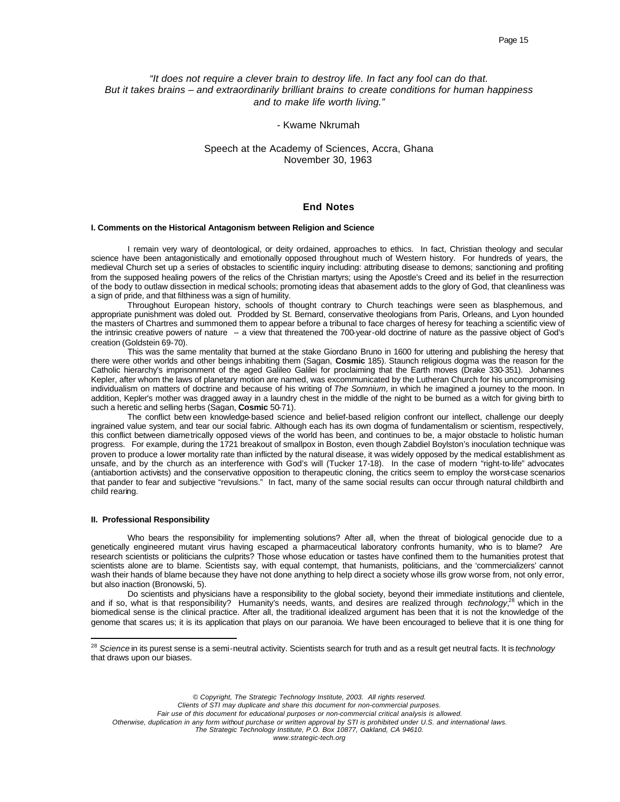# *"It does not require a clever brain to destroy life. In fact any fool can do that. But it takes brains – and extraordinarily brilliant brains to create conditions for human happiness and to make life worth living."*

### - Kwame Nkrumah

## Speech at the Academy of Sciences, Accra, Ghana November 30, 1963

## **End Notes**

#### **I. Comments on the Historical Antagonism between Religion and Science**

I remain very wary of deontological, or deity ordained, approaches to ethics. In fact, Christian theology and secular science have been antagonistically and emotionally opposed throughout much of Western history. For hundreds of years, the medieval Church set up a series of obstacles to scientific inquiry including: attributing disease to demons; sanctioning and profiting from the supposed healing powers of the relics of the Christian martyrs; using the Apostle's Creed and its belief in the resurrection of the body to outlaw dissection in medical schools; promoting ideas that abasement adds to the glory of God, that cleanliness was a sign of pride, and that filthiness was a sign of humility.

Throughout European history, schools of thought contrary to Church teachings were seen as blasphemous, and appropriate punishment was doled out. Prodded by St. Bernard, conservative theologians from Paris, Orleans, and Lyon hounded the masters of Chartres and summoned them to appear before a tribunal to face charges of heresy for teaching a scientific view of the intrinsic creative powers of nature - a view that threatened the 700-year-old doctrine of nature as the passive object of God's creation (Goldstein 69-70).

This was the same mentality that burned at the stake Giordano Bruno in 1600 for uttering and publishing the heresy that there were other worlds and other beings inhabiting them (Sagan, **Cosmic** 185). Staunch religious dogma was the reason for the Catholic hierarchy's imprisonment of the aged Galileo Galilei for proclaiming that the Earth moves (Drake 330-351). Johannes Kepler, after whom the laws of planetary motion are named, was excommunicated by the Lutheran Church for his uncompromising individualism on matters of doctrine and because of his writing of *The Somnium*, in which he imagined a journey to the moon. In addition, Kepler's mother was dragged away in a laundry chest in the middle of the night to be burned as a witch for giving birth to such a heretic and selling herbs (Sagan, **Cosmic** 50-71).

The conflict betw een knowledge-based science and belief-based religion confront our intellect, challenge our deeply ingrained value system, and tear our social fabric. Although each has its own dogma of fundamentalism or scientism, respectively, this conflict between diametrically opposed views of the world has been, and continues to be, a major obstacle to holistic human progress. For example, during the 1721 breakout of smallpox in Boston, even though Zabdiel Boylston's inoculation technique was proven to produce a lower mortality rate than inflicted by the natural disease, it was widely opposed by the medical establishment as unsafe, and by the church as an interference with God's will (Tucker 17-18). In the case of modern "right-to-life" advocates (antiabortion activists) and the conservative opposition to therapeutic cloning, the critics seem to employ the worst-case scenarios that pander to fear and subjective "revulsions." In fact, many of the same social results can occur through natural childbirth and child rearing.

#### **II. Professional Responsibility**

 $\overline{a}$ 

Who bears the responsibility for implementing solutions? After all, when the threat of biological genocide due to a genetically engineered mutant virus having escaped a pharmaceutical laboratory confronts humanity, who is to blame? Are research scientists or politicians the culprits? Those whose education or tastes have confined them to the humanities protest that scientists alone are to blame. Scientists say, with equal contempt, that humanists, politicians, and the 'commercializers' cannot wash their hands of blame because they have not done anything to help direct a society whose ills grow worse from, not only error, but also inaction (Bronowski, 5).

Do scientists and physicians have a responsibility to the global society, beyond their immediate institutions and clientele, and if so, what is that responsibility? Humanity's needs, wants, and desires are realized through *technology*, <sup>28</sup> which in the biomedical sense is the clinical practice. After all, the traditional idealized argument has been that it is not the knowledge of the genome that scares us; it is its application that plays on our paranoia. We have been encouraged to believe that it is one thing for

*© Copyright, The Strategic Technology Institute, 2003. All rights reserved.*

*Fair use of this document for educational purposes or non-commercial critical analysis is allowed.* 

*Otherwise, duplication in any form without purchase or written approval by STI is prohibited under U.S. and international laws.*

<sup>28</sup> *Science* in its purest sense is a semi-neutral activity. Scientists search for truth and as a result get neutral facts. It is *technology* that draws upon our biases.

*Clients of STI may duplicate and share this document for non-commercial purposes.*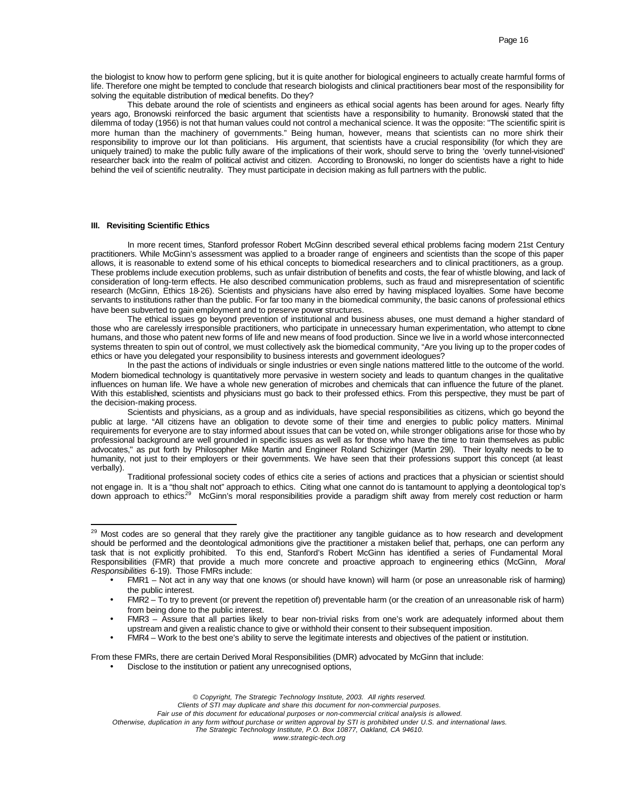the biologist to know how to perform gene splicing, but it is quite another for biological engineers to actually create harmful forms of life. Therefore one might be tempted to conclude that research biologists and clinical practitioners bear most of the responsibility for solving the equitable distribution of medical benefits. Do they?

This debate around the role of scientists and engineers as ethical social agents has been around for ages. Nearly fifty years ago, Bronowski reinforced the basic argument that scientists have a responsibility to humanity. Bronowski stated that the dilemma of today (1956) is not that human values could not control a mechanical science. It was the opposite: "The scientific spirit is more human than the machinery of governments." Being human, however, means that scientists can no more shirk their responsibility to improve our lot than politicians. His argument, that scientists have a crucial responsibility (for which they are uniquely trained) to make the public fully aware of the implications of their work, should serve to bring the 'overly tunnel-visioned' researcher back into the realm of political activist and citizen. According to Bronowski, no longer do scientists have a right to hide behind the veil of scientific neutrality. They must participate in decision making as full partners with the public.

#### **III. Revisiting Scientific Ethics**

 $\overline{a}$ 

In more recent times, Stanford professor Robert McGinn described several ethical problems facing modern 21st Century practitioners. While McGinn's assessment was applied to a broader range of engineers and scientists than the scope of this paper allows, it is reasonable to extend some of his ethical concepts to biomedical researchers and to clinical practitioners, as a group. These problems include execution problems, such as unfair distribution of benefits and costs, the fear of whistle blowing, and lack of consideration of long-term effects. He also described communication problems, such as fraud and misrepresentation of scientific research (McGinn, Ethics 18-26). Scientists and physicians have also erred by having misplaced loyalties. Some have become servants to institutions rather than the public. For far too many in the biomedical community, the basic canons of professional ethics have been subverted to gain employment and to preserve power structures.

The ethical issues go beyond prevention of institutional and business abuses, one must demand a higher standard of those who are carelessly irresponsible practitioners, who participate in unnecessary human experimentation, who attempt to clone humans, and those who patent new forms of life and new means of food production. Since we live in a world whose interconnected systems threaten to spin out of control, we must collectively ask the biomedical community, "Are you living up to the proper codes of ethics or have you delegated your responsibility to business interests and government ideologues?

In the past the actions of individuals or single industries or even single nations mattered little to the outcome of the world. Modern biomedical technology is quantitatively more pervasive in western society and leads to quantum changes in the qualitative influences on human life. We have a whole new generation of microbes and chemicals that can influence the future of the planet. With this established, scientists and physicians must go back to their professed ethics. From this perspective, they must be part of the decision-making process.

Scientists and physicians, as a group and as individuals, have special responsibilities as citizens, which go beyond the public at large. "All citizens have an obligation to devote some of their time and energies to public policy matters. Minimal requirements for everyone are to stay informed about issues that can be voted on, while stronger obligations arise for those who by professional background are well grounded in specific issues as well as for those who have the time to train themselves as public advocates," as put forth by Philosopher Mike Martin and Engineer Roland Schizinger (Martin 29l). Their loyalty needs to be to humanity, not just to their employers or their governments. We have seen that their professions support this concept (at least verbally).

Traditional professional society codes of ethics cite a series of actions and practices that a physician or scientist should not engage in. It is a "thou shalt not" approach to ethics. Citing what one cannot do is tantamount to applying a deontological top's down approach to ethics.<sup>29</sup> McGinn's moral responsibilities provide a paradigm shift away from merely cost reduction or harm

From these FMRs, there are certain Derived Moral Responsibilities (DMR) advocated by McGinn that include:

• Disclose to the institution or patient any unrecognised options,

<sup>&</sup>lt;sup>29</sup> Most codes are so general that they rarely give the practitioner any tangible guidance as to how research and development should be performed and the deontological admonitions give the practitioner a mistaken belief that, perhaps, one can perform any task that is not explicitly prohibited. To this end, Stanford's Robert McGinn has identified a series of Fundamental Moral Responsibilities (FMR) that provide a much more concrete and proactive approach to engineering ethics (McGinn, *Moral Responsibilities* 6-19). Those FMRs include:

<sup>•</sup> FMR1 – Not act in any way that one knows (or should have known) will harm (or pose an unreasonable risk of harming) the public interest.

<sup>•</sup> FMR2 – To try to prevent (or prevent the repetition of) preventable harm (or the creation of an unreasonable risk of harm) from being done to the public interest.

<sup>•</sup> FMR3 – Assure that all parties likely to bear non-trivial risks from one's work are adequately informed about them upstream and given a realistic chance to give or withhold their consent to their subsequent imposition.

<sup>•</sup> FMR4 – Work to the best one's ability to serve the legitimate interests and objectives of the patient or institution.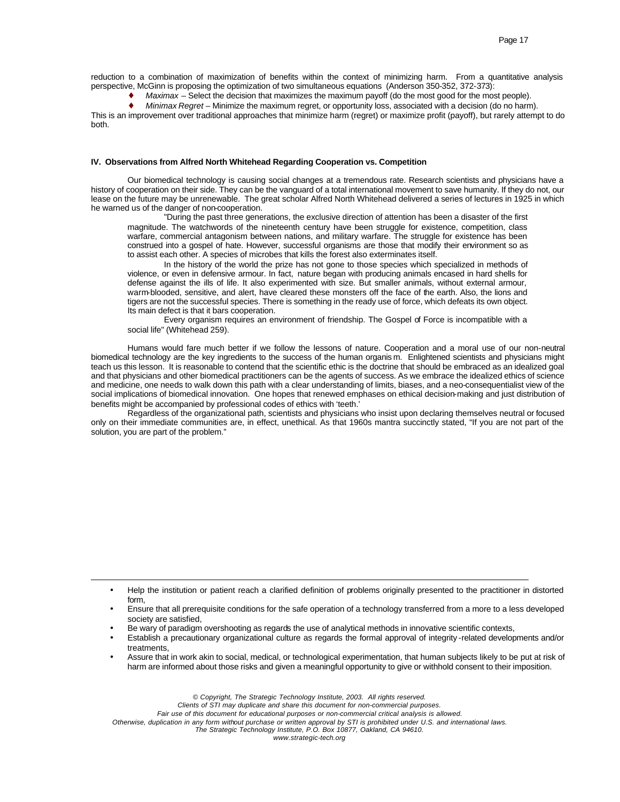reduction to a combination of maximization of benefits within the context of minimizing harm. From a quantitative analysis perspective, McGinn is proposing the optimization of two simultaneous equations (Anderson 350-352, 372-373):

Maximax – Select the decision that maximizes the maximum payoff (do the most good for the most people).

♦ *Minimax Regret* – Minimize the maximum regret, or opportunity loss, associated with a decision (do no harm).

This is an improvement over traditional approaches that minimize harm (regret) or maximize profit (payoff), but rarely attempt to do both.

#### **IV. Observations from Alfred North Whitehead Regarding Cooperation vs. Competition**

Our biomedical technology is causing social changes at a tremendous rate. Research scientists and physicians have a history of cooperation on their side. They can be the vanguard of a total international movement to save humanity. If they do not, our lease on the future may be unrenewable. The great scholar Alfred North Whitehead delivered a series of lectures in 1925 in which he warned us of the danger of non-cooperation.

"During the past three generations, the exclusive direction of attention has been a disaster of the first magnitude. The watchwords of the nineteenth century have been struggle for existence, competition, class warfare, commercial antagonism between nations, and military warfare. The struggle for existence has been construed into a gospel of hate. However, successful organisms are those that modify their environment so as to assist each other. A species of microbes that kills the forest also exterminates itself.

In the history of the world the prize has not gone to those species which specialized in methods of violence, or even in defensive armour. In fact, nature began with producing animals encased in hard shells for defense against the ills of life. It also experimented with size. But smaller animals, without external armour, warm-blooded, sensitive, and alert, have cleared these monsters off the face of the earth. Also, the lions and tigers are not the successful species. There is something in the ready use of force, which defeats its own object. Its main defect is that it bars cooperation.

Every organism requires an environment of friendship. The Gospel of Force is incompatible with a social life" (Whitehead 259).

Humans would fare much better if we follow the lessons of nature. Cooperation and a moral use of our non-neutral biomedical technology are the key ingredients to the success of the human organis m. Enlightened scientists and physicians might teach us this lesson. It is reasonable to contend that the scientific ethic is the doctrine that should be embraced as an idealized goal and that physicians and other biomedical practitioners can be the agents of success. As we embrace the idealized ethics of science and medicine, one needs to walk down this path with a clear understanding of limits, biases, and a neo-consequentialist view of the social implications of biomedical innovation. One hopes that renewed emphases on ethical decision-making and just distribution of benefits might be accompanied by professional codes of ethics with 'teeth.'

Regardless of the organizational path, scientists and physicians who insist upon declaring themselves neutral or focused only on their immediate communities are, in effect, unethical. As that 1960s mantra succinctly stated, "If you are not part of the solution, you are part of the problem."

• Be wary of paradigm overshooting as regards the use of analytical methods in innovative scientific contexts,

 $\overline{a}$ 

- Establish a precautionary organizational culture as regards the formal approval of integrity -related developments and/or treatments,
- Assure that in work akin to social, medical, or technological experimentation, that human subjects likely to be put at risk of harm are informed about those risks and given a meaningful opportunity to give or withhold consent to their imposition.

*© Copyright, The Strategic Technology Institute, 2003. All rights reserved. Clients of STI may duplicate and share this document for non-commercial purposes. Fair use of this document for educational purposes or non-commercial critical analysis is allowed. Otherwise, duplication in any form without purchase or written approval by STI is prohibited under U.S. and international laws. The Strategic Technology Institute, P.O. Box 10877, Oakland, CA 94610.*

<sup>•</sup> Help the institution or patient reach a clarified definition of problems originally presented to the practitioner in distorted form,

<sup>•</sup> Ensure that all prerequisite conditions for the safe operation of a technology transferred from a more to a less developed society are satisfied,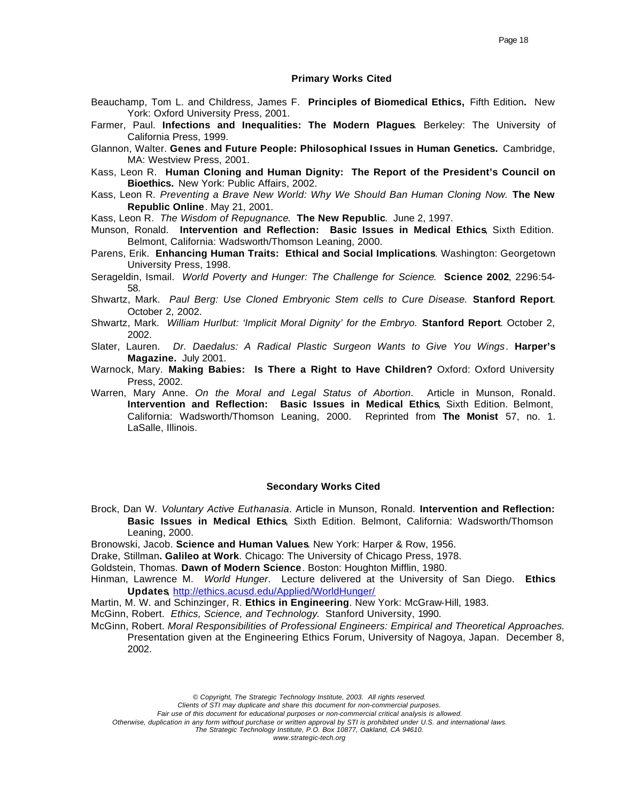## **Primary Works Cited**

- Beauchamp, Tom L. and Childress, James F. **Principles of Biomedical Ethics,** Fifth Edition**.** New York: Oxford University Press, 2001.
- Farmer, Paul. **Infections and Inequalities: The Modern Plagues**. Berkeley: The University of California Press, 1999.
- Glannon, Walter. **Genes and Future People: Philosophical Issues in Human Genetics.** Cambridge, MA: Westview Press, 2001.
- Kass, Leon R. **Human Cloning and Human Dignity: The Report of the President's Council on Bioethics.** New York: Public Affairs, 2002.
- Kass, Leon R. *Preventing a Brave New World: Why We Should Ban Human Cloning Now.* **The New Republic Online**. May 21, 2001.

Kass, Leon R. *The Wisdom of Repugnance*. **The New Republic**. June 2, 1997.

- Munson, Ronald. **Intervention and Reflection: Basic Issues in Medical Ethics**, Sixth Edition. Belmont, California: Wadsworth/Thomson Leaning, 2000.
- Parens, Erik. **Enhancing Human Traits: Ethical and Social Implications**. Washington: Georgetown University Press, 1998.
- Serageldin, Ismail. *World Poverty and Hunger: The Challenge for Science*. **Science 2002**, 2296:54- 58.
- Shwartz, Mark. *Paul Berg: Use Cloned Embryonic Stem cells to Cure Disease.* **Stanford Report**. October 2, 2002.
- Shwartz, Mark. *William Hurlbut: 'Implicit Moral Dignity' for the Embryo.* **Stanford Report**. October 2, 2002.
- Slater, Lauren. *Dr. Daedalus: A Radical Plastic Surgeon Wants to Give You Wings*. **Harper's Magazine.** July 2001.
- Warnock, Mary. **Making Babies: Is There a Right to Have Children?** Oxford: Oxford University Press, 2002.
- Warren, Mary Anne. *On the Moral and Legal Status of Abortion*. Article in Munson, Ronald. **Intervention and Reflection: Basic Issues in Medical Ethics**, Sixth Edition. Belmont, California: Wadsworth/Thomson Leaning, 2000. Reprinted from **The Monist** 57, no. 1. LaSalle, Illinois.

#### **Secondary Works Cited**

- Brock, Dan W. *Voluntary Active Euthanasia*. Article in Munson, Ronald. **Intervention and Reflection: Basic Issues in Medical Ethics**, Sixth Edition. Belmont, California: Wadsworth/Thomson Leaning, 2000.
- Bronowski, Jacob. **Science and Human Values**. New York: Harper & Row, 1956.
- Drake, Stillman**. Galileo at Work**. Chicago: The University of Chicago Press, 1978.
- Goldstein, Thomas. **Dawn of Modern Science**. Boston: Houghton Mifflin, 1980.

Hinman, Lawrence M. *World Hunger*. Lecture delivered at the University of San Diego. **Ethics Updates**, http://ethics.acusd.edu/Applied/WorldHunger/

Martin, M. W. and Schinzinger, R. **Ethics in Engineering**. New York: McGraw-Hill, 1983.

McGinn, Robert. *Ethics, Science, and Technology*. Stanford University, 1990.

McGinn, Robert. *Moral Responsibilities of Professional Engineers: Empirical and Theoretical Approaches.* Presentation given at the Engineering Ethics Forum, University of Nagoya, Japan. December 8, 2002.

*© Copyright, The Strategic Technology Institute, 2003. All rights reserved.*

*Clients of STI may duplicate and share this document for non-commercial purposes.* 

*Fair use of this document for educational purposes or non-commercial critical analysis is allowed.* 

*Otherwise, duplication in any form without purchase or written approval by STI is prohibited under U.S. and international laws.*

*The Strategic Technology Institute, P.O. Box 10877, Oakland, CA 94610.*